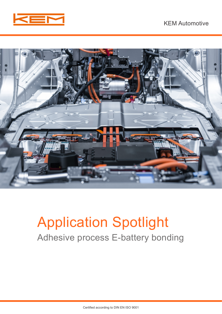



# Application Spotlight Adhesive process E-battery bonding